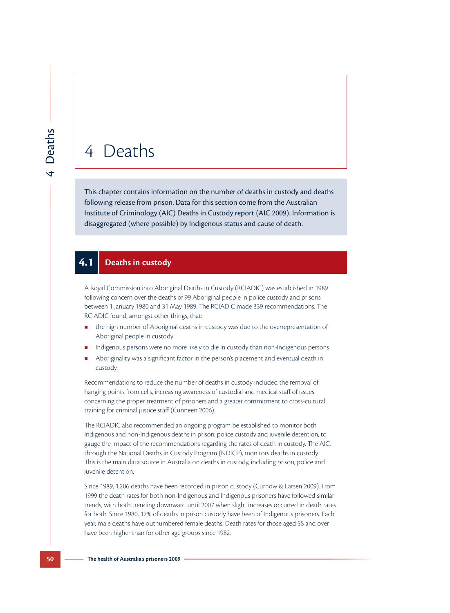# 4 Deaths Deaths

## 4 Deaths

This chapter contains information on the number of deaths in custody and deaths following release from prison. Data for this section come from the Australian Institute of Criminology (AIC) Deaths in Custody report (AIC 2009). Information is disaggregated (where possible) by Indigenous status and cause of death.

### **4.1 Deaths in custody**

A Royal Commission into Aboriginal Deaths in Custody (RCIADIC) was established in 1989 following concern over the deaths of 99 Aboriginal people in police custody and prisons between 1 January 1980 and 31 May 1989. The RCIADIC made 339 recommendations. The RCIADIC found, amongst other things, that:

- the high number of Aboriginal deaths in custody was due to the overrepresentation of Aboriginal people in custody
- Indigenous persons were no more likely to die in custody than non-Indigenous persons
- Aboriginality was a significant factor in the person's placement and eventual death in custody.

Recommendations to reduce the number of deaths in custody included the removal of hanging points from cells, increasing awareness of custodial and medical staff of issues concerning the proper treatment of prisoners and a greater commitment to cross-cultural training for criminal justice staff (Cunneen 2006).

The RCIADIC also recommended an ongoing program be established to monitor both Indigenous and non-Indigenous deaths in prison, police custody and juvenile detention, to gauge the impact of the recommendations regarding the rates of death in custody. The AIC, through the National Deaths in Custody Program (NDICP), monitors deaths in custody. This is the main data source in Australia on deaths in custody, including prison, police and juvenile detention.

Since 1989, 1,206 deaths have been recorded in prison custody (Curnow & Larsen 2009). From 1999 the death rates for both non-Indigenous and Indigenous prisoners have followed similar trends, with both trending downward until 2007 when slight increases occurred in death rates for both. Since 1980, 17% of deaths in prison custody have been of Indigenous prisoners. Each year, male deaths have outnumbered female deaths. Death rates for those aged 55 and over have been higher than for other age groups since 1982.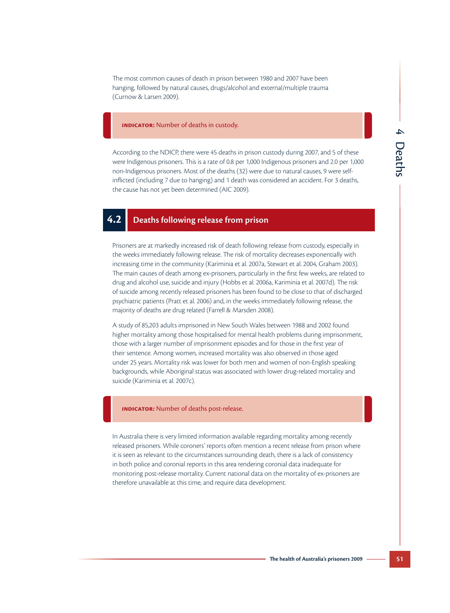The most common causes of death in prison between 1980 and 2007 have been hanging, followed by natural causes, drugs/alcohol and external/multiple trauma (Curnow & Larsen 2009).

**INDICATOR:** Number of deaths in custody.

According to the NDICP, there were 45 deaths in prison custody during 2007, and 5 of these were Indigenous prisoners. This is a rate of 0.8 per 1,000 Indigenous prisoners and 2.0 per 1,000 non-Indigenous prisoners. Most of the deaths (32) were due to natural causes, 9 were selfinflicted (including 7 due to hanging) and 1 death was considered an accident. For 3 deaths, the cause has not yet been determined (AIC 2009).

### **4.2 Deaths following release from prison**

Prisoners are at markedly increased risk of death following release from custody, especially in the weeks immediately following release. The risk of mortality decreases exponentially with increasing time in the community (Kariminia et al. 2007a, Stewart et al. 2004, Graham 2003). The main causes of death among ex-prisoners, particularly in the first few weeks, are related to drug and alcohol use, suicide and injury (Hobbs et al. 2006a, Kariminia et al. 2007d). The risk of suicide among recently released prisoners has been found to be close to that of discharged psychiatric patients (Pratt et al. 2006) and, in the weeks immediately following release, the majority of deaths are drug related (Farrell & Marsden 2008).

A study of 85,203 adults imprisoned in New South Wales between 1988 and 2002 found higher mortality among those hospitalised for mental health problems during imprisonment, those with a larger number of imprisonment episodes and for those in the first year of their sentence. Among women, increased mortality was also observed in those aged under 25 years. Mortality risk was lower for both men and women of non-English speaking backgrounds, while Aboriginal status was associated with lower drug-related mortality and suicide (Kariminia et al. 2007c).

### **INDICATOR:** Number of deaths post-release.

In Australia there is very limited information available regarding mortality among recently released prisoners. While coroners' reports often mention a recent release from prison where it is seen as relevant to the circumstances surrounding death, there is a lack of consistency in both police and coronial reports in this area rendering coronial data inadequate for monitoring post-release mortality. Current national data on the mortality of ex-prisoners are therefore unavailable at this time, and require data development.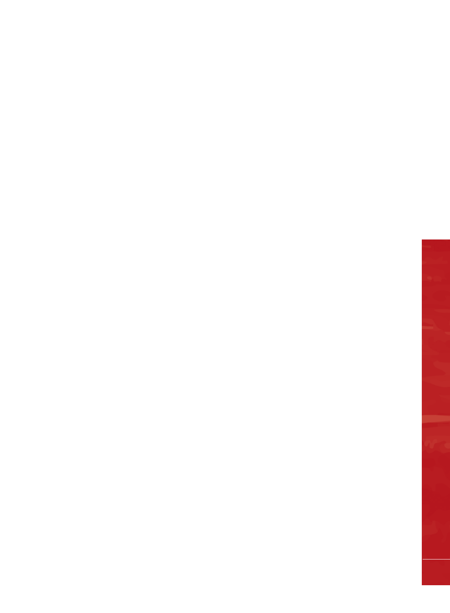**College**